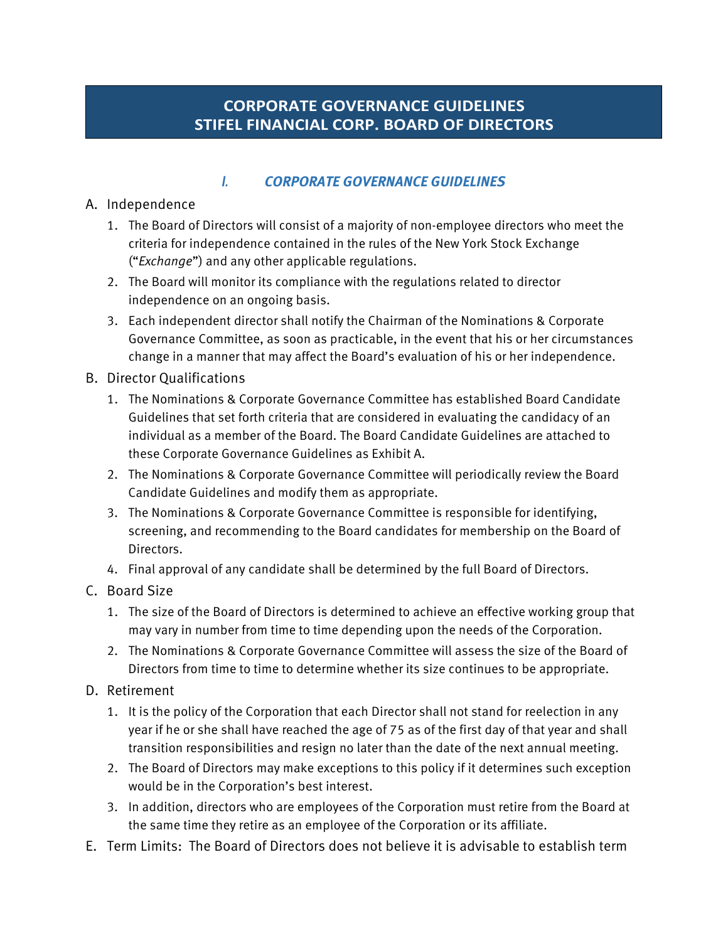# **CORPORATE GOVERNANCE GUIDELINES STIFEL FINANCIAL CORP. BOARD OF DIRECTORS**

#### *I. CORPORATE GOVERNANCE GUIDELINES*

#### A. Independence

- 1. The Board of Directors will consist of a majority of non-employee directors who meet the criteria for independence contained in the rules of the New York Stock Exchange ("*Exchange*") and any other applicable regulations.
- 2. The Board will monitor its compliance with the regulations related to director independence on an ongoing basis.
- 3. Each independent director shall notify the Chairman of the Nominations & Corporate Governance Committee, as soon as practicable, in the event that his or her circumstances change in a manner that may affect the Board's evaluation of his or her independence.

#### B. Director Qualifications

- 1. The Nominations & Corporate Governance Committee has established Board Candidate Guidelines that set forth criteria that are considered in evaluating the candidacy of an individual as a member of the Board. The Board Candidate Guidelines are attached to these Corporate Governance Guidelines as Exhibit A.
- 2. The Nominations & Corporate Governance Committee will periodically review the Board Candidate Guidelines and modify them as appropriate.
- 3. The Nominations & Corporate Governance Committee is responsible for identifying, screening, and recommending to the Board candidates for membership on the Board of Directors.
- 4. Final approval of any candidate shall be determined by the full Board of Directors.

## C. Board Size

- 1. The size of the Board of Directors is determined to achieve an effective working group that may vary in number from time to time depending upon the needs of the Corporation.
- 2. The Nominations & Corporate Governance Committee will assess the size of the Board of Directors from time to time to determine whether its size continues to be appropriate.

#### D. Retirement

- 1. It is the policy of the Corporation that each Director shall not stand for reelection in any year if he or she shall have reached the age of 75 as of the first day of that year and shall transition responsibilities and resign no later than the date of the next annual meeting.
- 2. The Board of Directors may make exceptions to this policy if it determines such exception would be in the Corporation's best interest.
- 3. In addition, directors who are employees of the Corporation must retire from the Board at the same time they retire as an employee of the Corporation or its affiliate.
- E. Term Limits: The Board of Directors does not believe it is advisable to establish term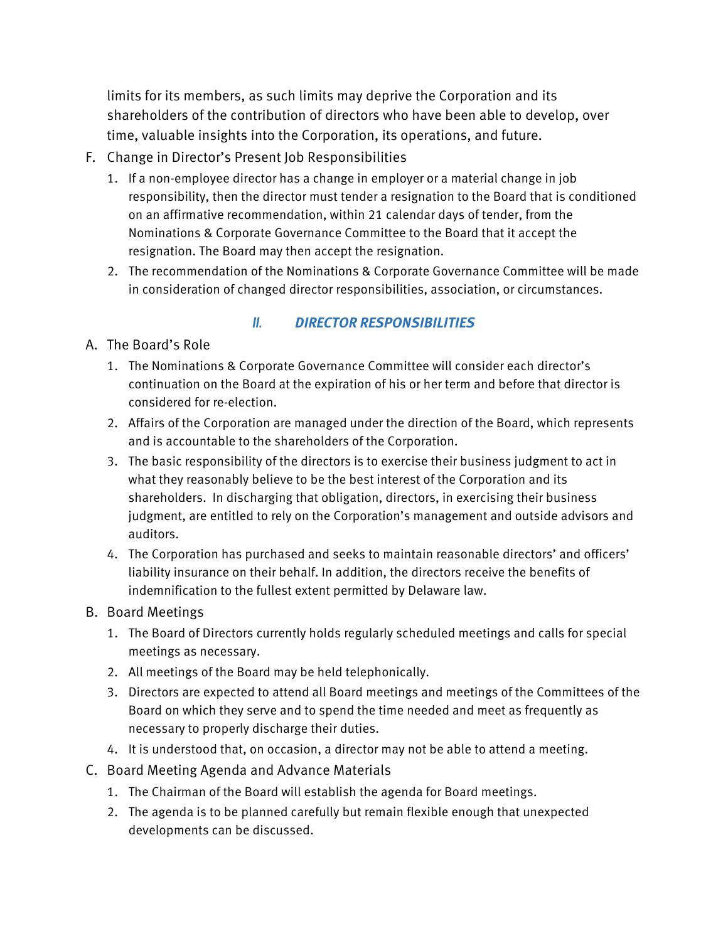limits for its members, as such limits may deprive the Corporation and its shareholders of the contribution of directors who have been able to develop, over time, valuable insights into the Corporation, its operations, and future.

- F. Change in Director's Present Job Responsibilities
	- 1. If a non-employee director has a change in employer or a material change in job responsibility, then the director must tender a resignation to the Board that is conditioned on an affirmative recommendation, within 21 calendar days of tender, from the Nominations & Corporate Governance Committee to the Board that it accept the resignation. The Board may then accept the resignation.
	- 2. The recommendation of the Nominations & Corporate Governance Committee will be made in consideration of changed director responsibilities, association, or circumstances.

## *II. DIRECTOR RESPONSIBILITIES*

- A. The Board's Role
	- 1. The Nominations & Corporate Governance Committee will consider each director's continuation on the Board at the expiration of his or her term and before that director is considered for re-election.
	- 2. Affairs of the Corporation are managed under the direction of the Board, which represents and is accountable to the shareholders of the Corporation.
	- 3. The basic responsibility of the directors is to exercise their business judgment to act in what they reasonably believe to be the best interest of the Corporation and its shareholders. In discharging that obligation, directors, in exercising their business judgment, are entitled to rely on the Corporation's management and outside advisors and auditors.
	- 4. The Corporation has purchased and seeks to maintain reasonable directors' and officers' liability insurance on their behalf. In addition, the directors receive the benefits of indemnification to the fullest extent permitted by Delaware law.

## B. Board Meetings

- 1. The Board of Directors currently holds regularly scheduled meetings and calls for special meetings as necessary.
- 2. All meetings of the Board may be held telephonically.
- 3. Directors are expected to attend all Board meetings and meetings of the Committees of the Board on which they serve and to spend the time needed and meet as frequently as necessary to properly discharge their duties.
- 4. It is understood that, on occasion, a director may not be able to attend a meeting.
- C. Board Meeting Agenda and Advance Materials
	- 1. The Chairman of the Board will establish the agenda for Board meetings.
	- 2. The agenda is to be planned carefully but remain flexible enough that unexpected developments can be discussed.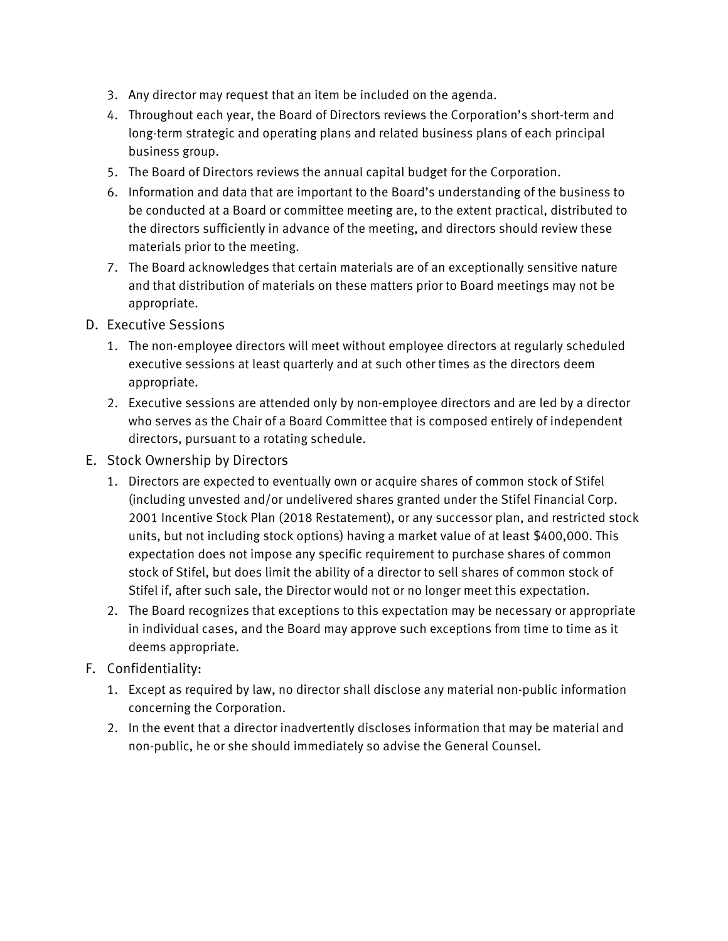- 3. Any director may request that an item be included on the agenda.
- 4. Throughout each year, the Board of Directors reviews the Corporation's short-term and long-term strategic and operating plans and related business plans of each principal business group.
- 5. The Board of Directors reviews the annual capital budget for the Corporation.
- 6. Information and data that are important to the Board's understanding of the business to be conducted at a Board or committee meeting are, to the extent practical, distributed to the directors sufficiently in advance of the meeting, and directors should review these materials prior to the meeting.
- 7. The Board acknowledges that certain materials are of an exceptionally sensitive nature and that distribution of materials on these matters prior to Board meetings may not be appropriate.
- D. Executive Sessions
	- 1. The non-employee directors will meet without employee directors at regularly scheduled executive sessions at least quarterly and at such other times as the directors deem appropriate.
	- 2. Executive sessions are attended only by non-employee directors and are led by a director who serves as the Chair of a Board Committee that is composed entirely of independent directors, pursuant to a rotating schedule.
- E. Stock Ownership by Directors
	- 1. Directors are expected to eventually own or acquire shares of common stock of Stifel (including unvested and/or undelivered shares granted under the Stifel Financial Corp. 2001 Incentive Stock Plan (2018 Restatement), or any successor plan, and restricted stock units, but not including stock options) having a market value of at least \$400,000. This expectation does not impose any specific requirement to purchase shares of common stock of Stifel, but does limit the ability of a director to sell shares of common stock of Stifel if, after such sale, the Director would not or no longer meet this expectation.
	- 2. The Board recognizes that exceptions to this expectation may be necessary or appropriate in individual cases, and the Board may approve such exceptions from time to time as it deems appropriate.
- F. Confidentiality:
	- 1. Except as required by law, no director shall disclose any material non-public information concerning the Corporation.
	- 2. In the event that a director inadvertently discloses information that may be material and non-public, he or she should immediately so advise the General Counsel.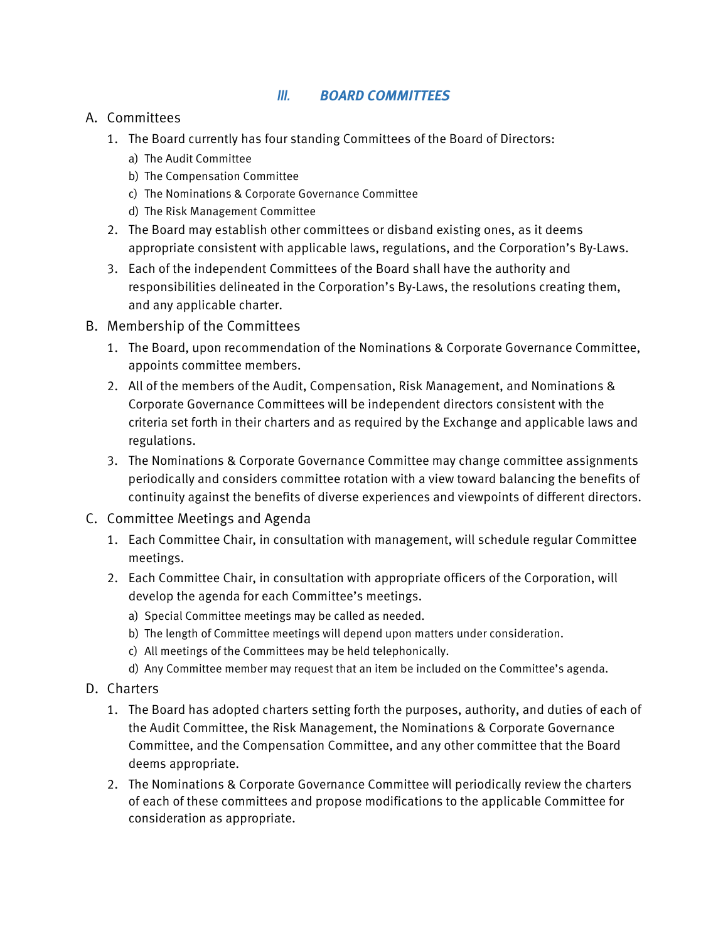#### *III. BOARD COMMITTEES*

#### A. Committees

- 1. The Board currently has four standing Committees of the Board of Directors:
	- a) The Audit Committee
	- b) The Compensation Committee
	- c) The Nominations & Corporate Governance Committee
	- d) The Risk Management Committee
- 2. The Board may establish other committees or disband existing ones, as it deems appropriate consistent with applicable laws, regulations, and the Corporation's By-Laws.
- 3. Each of the independent Committees of the Board shall have the authority and responsibilities delineated in the Corporation's By-Laws, the resolutions creating them, and any applicable charter.
- B. Membership of the Committees
	- 1. The Board, upon recommendation of the Nominations & Corporate Governance Committee, appoints committee members.
	- 2. All of the members of the Audit, Compensation, Risk Management, and Nominations & Corporate Governance Committees will be independent directors consistent with the criteria set forth in their charters and as required by the Exchange and applicable laws and regulations.
	- 3. The Nominations & Corporate Governance Committee may change committee assignments periodically and considers committee rotation with a view toward balancing the benefits of continuity against the benefits of diverse experiences and viewpoints of different directors.
- C. Committee Meetings and Agenda
	- 1. Each Committee Chair, in consultation with management, will schedule regular Committee meetings.
	- 2. Each Committee Chair, in consultation with appropriate officers of the Corporation, will develop the agenda for each Committee's meetings.
		- a) Special Committee meetings may be called as needed.
		- b) The length of Committee meetings will depend upon matters under consideration.
		- c) All meetings of the Committees may be held telephonically.
		- d) Any Committee member may request that an item be included on the Committee's agenda.
- D. Charters
	- 1. The Board has adopted charters setting forth the purposes, authority, and duties of each of the Audit Committee, the Risk Management, the Nominations & Corporate Governance Committee, and the Compensation Committee, and any other committee that the Board deems appropriate.
	- 2. The Nominations & Corporate Governance Committee will periodically review the charters of each of these committees and propose modifications to the applicable Committee for consideration as appropriate.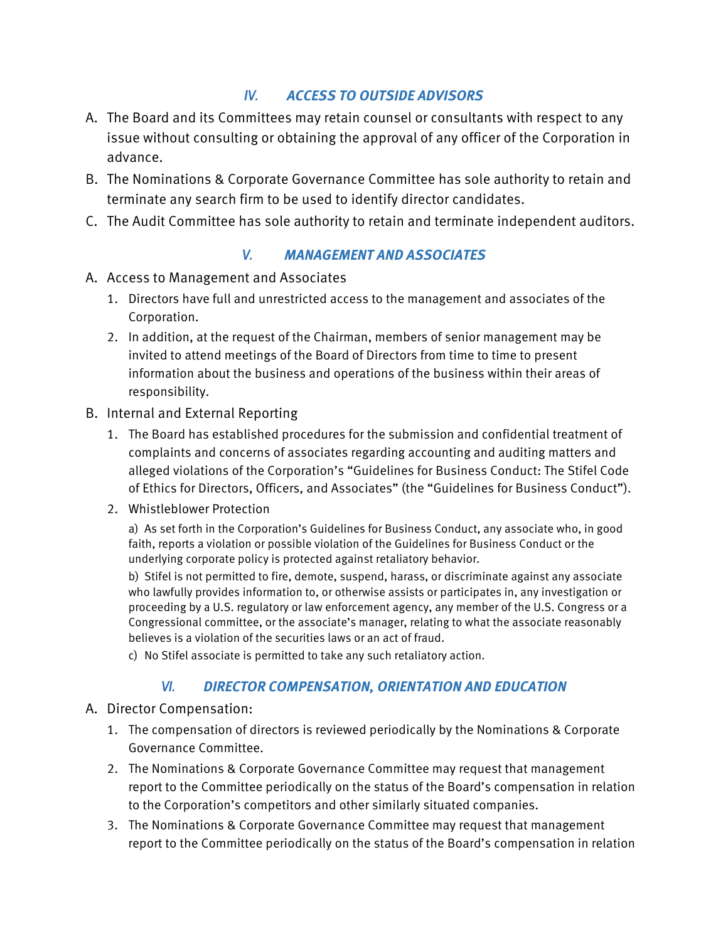# *IV. ACCESS TO OUTSIDE ADVISORS*

- A. The Board and its Committees may retain counsel or consultants with respect to any issue without consulting or obtaining the approval of any officer of the Corporation in advance.
- B. The Nominations & Corporate Governance Committee has sole authority to retain and terminate any search firm to be used to identify director candidates.
- C. The Audit Committee has sole authority to retain and terminate independent auditors.

## *V. MANAGEMENT AND ASSOCIATES*

- A. Access to Management and Associates
	- 1. Directors have full and unrestricted access to the management and associates of the Corporation.
	- 2. In addition, at the request of the Chairman, members of senior management may be invited to attend meetings of the Board of Directors from time to time to present information about the business and operations of the business within their areas of responsibility.
- B. Internal and External Reporting
	- 1. The Board has established procedures for the submission and confidential treatment of complaints and concerns of associates regarding accounting and auditing matters and alleged violations of the Corporation's "Guidelines for Business Conduct: The Stifel Code of Ethics for Directors, Officers, and Associates" (the "Guidelines for Business Conduct").
	- 2. Whistleblower Protection

a) As set forth in the Corporation's Guidelines for Business Conduct, any associate who, in good faith, reports a violation or possible violation of the Guidelines for Business Conduct or the underlying corporate policy is protected against retaliatory behavior.

b) Stifel is not permitted to fire, demote, suspend, harass, or discriminate against any associate who lawfully provides information to, or otherwise assists or participates in, any investigation or proceeding by a U.S. regulatory or law enforcement agency, any member of the U.S. Congress or a Congressional committee, or the associate's manager, relating to what the associate reasonably believes is a violation of the securities laws or an act of fraud.

c) No Stifel associate is permitted to take any such retaliatory action.

## *VI. DIRECTOR COMPENSATION, ORIENTATION AND EDUCATION*

- A. Director Compensation:
	- 1. The compensation of directors is reviewed periodically by the Nominations & Corporate Governance Committee.
	- 2. The Nominations & Corporate Governance Committee may request that management report to the Committee periodically on the status of the Board's compensation in relation to the Corporation's competitors and other similarly situated companies.
	- 3. The Nominations & Corporate Governance Committee may request that management report to the Committee periodically on the status of the Board's compensation in relation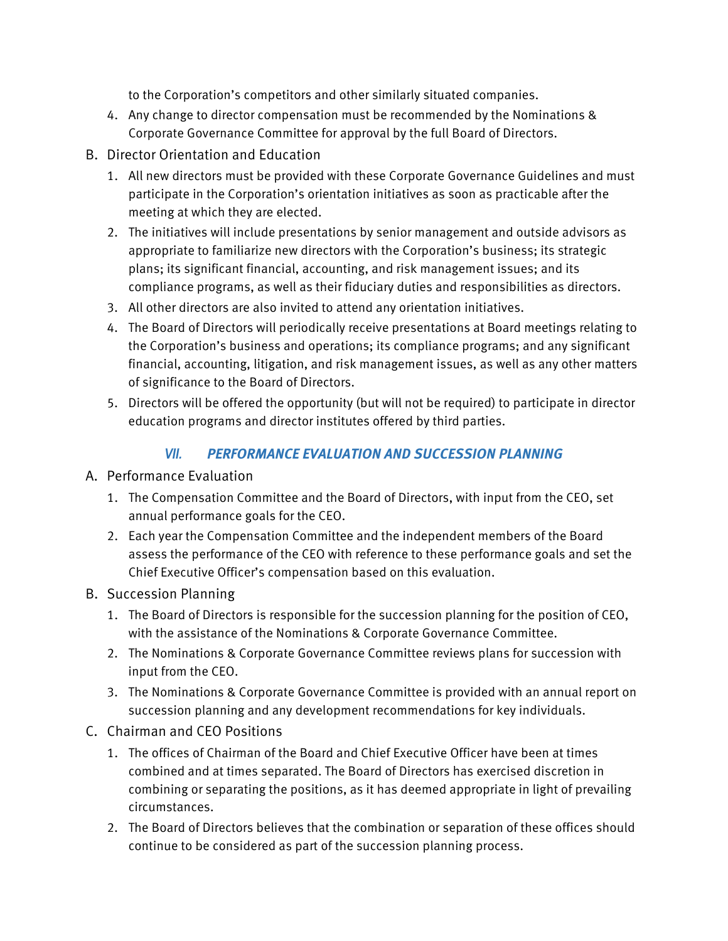to the Corporation's competitors and other similarly situated companies.

- 4. Any change to director compensation must be recommended by the Nominations & Corporate Governance Committee for approval by the full Board of Directors.
- B. Director Orientation and Education
	- 1. All new directors must be provided with these Corporate Governance Guidelines and must participate in the Corporation's orientation initiatives as soon as practicable after the meeting at which they are elected.
	- 2. The initiatives will include presentations by senior management and outside advisors as appropriate to familiarize new directors with the Corporation's business; its strategic plans; its significant financial, accounting, and risk management issues; and its compliance programs, as well as their fiduciary duties and responsibilities as directors.
	- 3. All other directors are also invited to attend any orientation initiatives.
	- 4. The Board of Directors will periodically receive presentations at Board meetings relating to the Corporation's business and operations; its compliance programs; and any significant financial, accounting, litigation, and risk management issues, as well as any other matters of significance to the Board of Directors.
	- 5. Directors will be offered the opportunity (but will not be required) to participate in director education programs and director institutes offered by third parties.

# *VII. PERFORMANCE EVALUATION AND SUCCESSION PLANNING*

#### A. Performance Evaluation

- 1. The Compensation Committee and the Board of Directors, with input from the CEO, set annual performance goals for the CEO.
- 2. Each year the Compensation Committee and the independent members of the Board assess the performance of the CEO with reference to these performance goals and set the Chief Executive Officer's compensation based on this evaluation.
- B. Succession Planning
	- 1. The Board of Directors is responsible for the succession planning for the position of CEO, with the assistance of the Nominations & Corporate Governance Committee.
	- 2. The Nominations & Corporate Governance Committee reviews plans for succession with input from the CEO.
	- 3. The Nominations & Corporate Governance Committee is provided with an annual report on succession planning and any development recommendations for key individuals.
- C. Chairman and CEO Positions
	- 1. The offices of Chairman of the Board and Chief Executive Officer have been at times combined and at times separated. The Board of Directors has exercised discretion in combining or separating the positions, as it has deemed appropriate in light of prevailing circumstances.
	- 2. The Board of Directors believes that the combination or separation of these offices should continue to be considered as part of the succession planning process.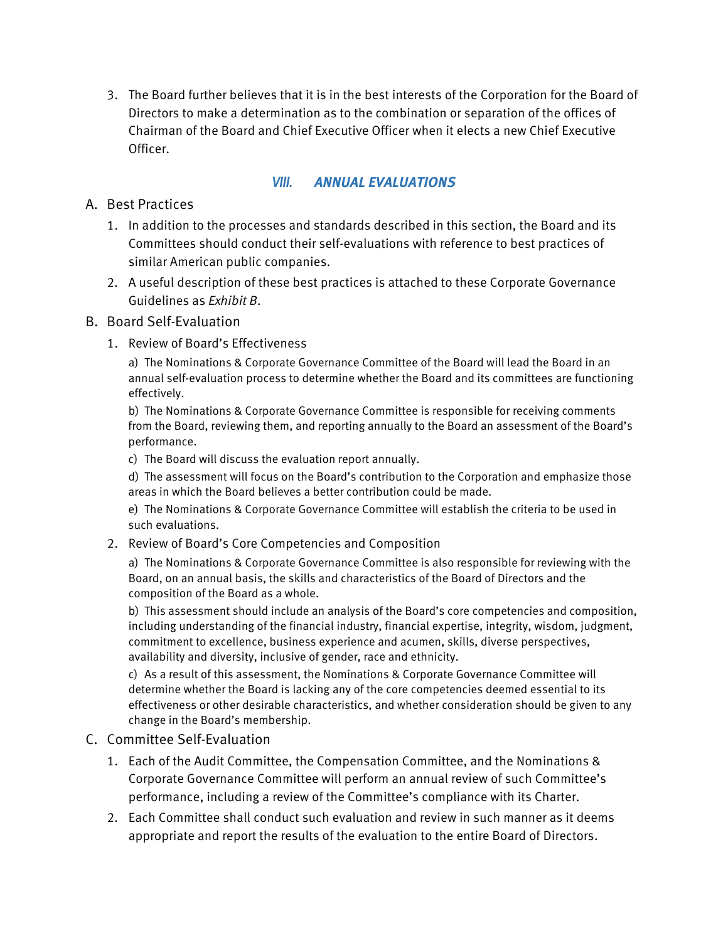3. The Board further believes that it is in the best interests of the Corporation for the Board of Directors to make a determination as to the combination or separation of the offices of Chairman of the Board and Chief Executive Officer when it elects a new Chief Executive Officer.

#### *VIII. ANNUAL EVALUATIONS*

#### A. Best Practices

- 1. In addition to the processes and standards described in this section, the Board and its Committees should conduct their self-evaluations with reference to best practices of similar American public companies.
- 2. A useful description of these best practices is attached to these Corporate Governance Guidelines as *Exhibit B*.

#### B. Board Self-Evaluation

1. Review of Board's Effectiveness

a) The Nominations & Corporate Governance Committee of the Board will lead the Board in an annual self-evaluation process to determine whether the Board and its committees are functioning effectively.

b) The Nominations & Corporate Governance Committee is responsible for receiving comments from the Board, reviewing them, and reporting annually to the Board an assessment of the Board's performance.

c) The Board will discuss the evaluation report annually.

d) The assessment will focus on the Board's contribution to the Corporation and emphasize those areas in which the Board believes a better contribution could be made.

e) The Nominations & Corporate Governance Committee will establish the criteria to be used in such evaluations.

#### 2. Review of Board's Core Competencies and Composition

a) The Nominations & Corporate Governance Committee is also responsible for reviewing with the Board, on an annual basis, the skills and characteristics of the Board of Directors and the composition of the Board as a whole.

b) This assessment should include an analysis of the Board's core competencies and composition, including understanding of the financial industry, financial expertise, integrity, wisdom, judgment, commitment to excellence, business experience and acumen, skills, diverse perspectives, availability and diversity, inclusive of gender, race and ethnicity.

c) As a result of this assessment, the Nominations & Corporate Governance Committee will determine whether the Board is lacking any of the core competencies deemed essential to its effectiveness or other desirable characteristics, and whether consideration should be given to any change in the Board's membership.

#### C. Committee Self-Evaluation

- 1. Each of the Audit Committee, the Compensation Committee, and the Nominations & Corporate Governance Committee will perform an annual review of such Committee's performance, including a review of the Committee's compliance with its Charter.
- 2. Each Committee shall conduct such evaluation and review in such manner as it deems appropriate and report the results of the evaluation to the entire Board of Directors.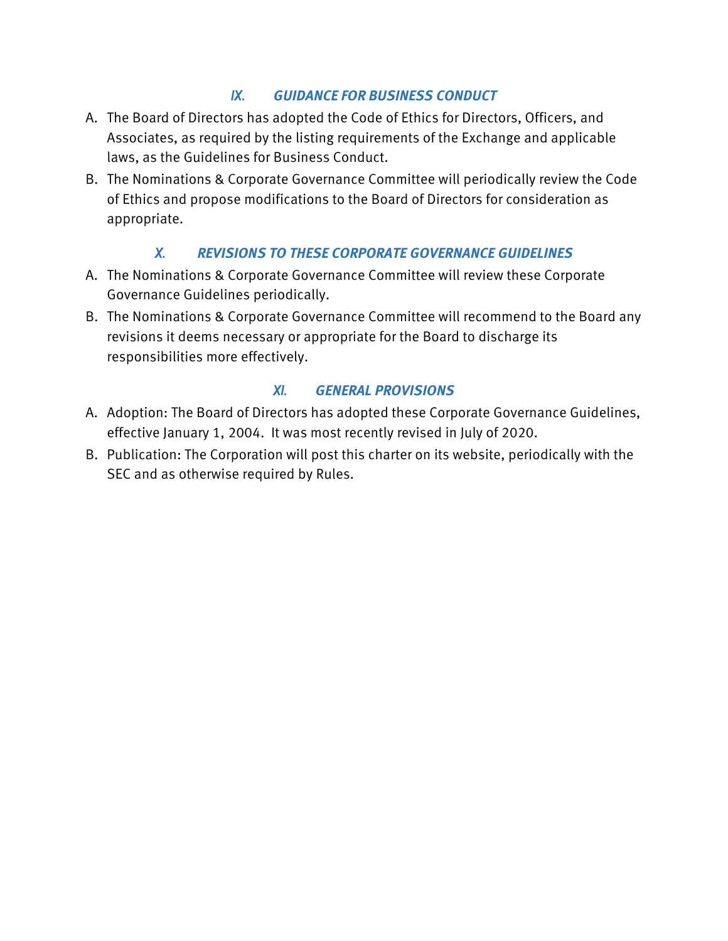# *IX. GUIDANCE FOR BUSINESS CONDUCT*

- A. The Board of Directors has adopted the Code of Ethics for Directors, Officers, and Associates, as required by the listing requirements of the Exchange and applicable laws, as the Guidelines for Business Conduct.
- B. The Nominations & Corporate Governance Committee will periodically review the Code of Ethics and propose modifications to the Board of Directors for consideration as appropriate.

# *X. REVISIONS TO THESE CORPORATE GOVERNANCE GUIDELINES*

- A. The Nominations & Corporate Governance Committee will review these Corporate Governance Guidelines periodically.
- B. The Nominations & Corporate Governance Committee will recommend to the Board any revisions it deems necessary or appropriate for the Board to discharge its responsibilities more effectively.

# *XI. GENERAL PROVISIONS*

- A. Adoption: The Board of Directors has adopted these Corporate Governance Guidelines, effective January 1, 2004. It was most recently revised in July of 2020.
- B. Publication: The Corporation will post this charter on its website, periodically with the SEC and as otherwise required by Rules.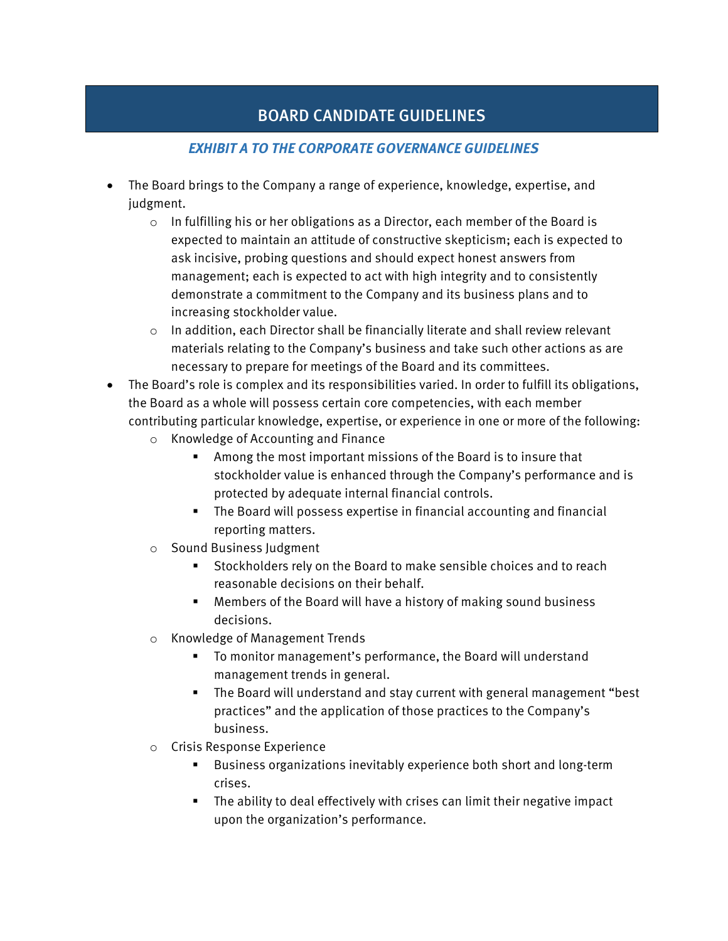# BOARD CANDIDATE GUIDELINES

# *EXHIBIT A TO THE CORPORATE GOVERNANCE GUIDELINES*

- The Board brings to the Company a range of experience, knowledge, expertise, and judgment.
	- $\circ$  In fulfilling his or her obligations as a Director, each member of the Board is expected to maintain an attitude of constructive skepticism; each is expected to ask incisive, probing questions and should expect honest answers from management; each is expected to act with high integrity and to consistently demonstrate a commitment to the Company and its business plans and to increasing stockholder value.
	- $\circ$  In addition, each Director shall be financially literate and shall review relevant materials relating to the Company's business and take such other actions as are necessary to prepare for meetings of the Board and its committees.
- The Board's role is complex and its responsibilities varied. In order to fulfill its obligations, the Board as a whole will possess certain core competencies, with each member contributing particular knowledge, expertise, or experience in one or more of the following:
	- o Knowledge of Accounting and Finance
		- Among the most important missions of the Board is to insure that stockholder value is enhanced through the Company's performance and is protected by adequate internal financial controls.
		- The Board will possess expertise in financial accounting and financial reporting matters.
	- o Sound Business Judgment
		- Stockholders rely on the Board to make sensible choices and to reach reasonable decisions on their behalf.
		- Members of the Board will have a history of making sound business decisions.
	- o Knowledge of Management Trends
		- To monitor management's performance, the Board will understand management trends in general.
		- The Board will understand and stay current with general management "best practices" and the application of those practices to the Company's business.
	- o Crisis Response Experience
		- Business organizations inevitably experience both short and long-term crises.
		- The ability to deal effectively with crises can limit their negative impact upon the organization's performance.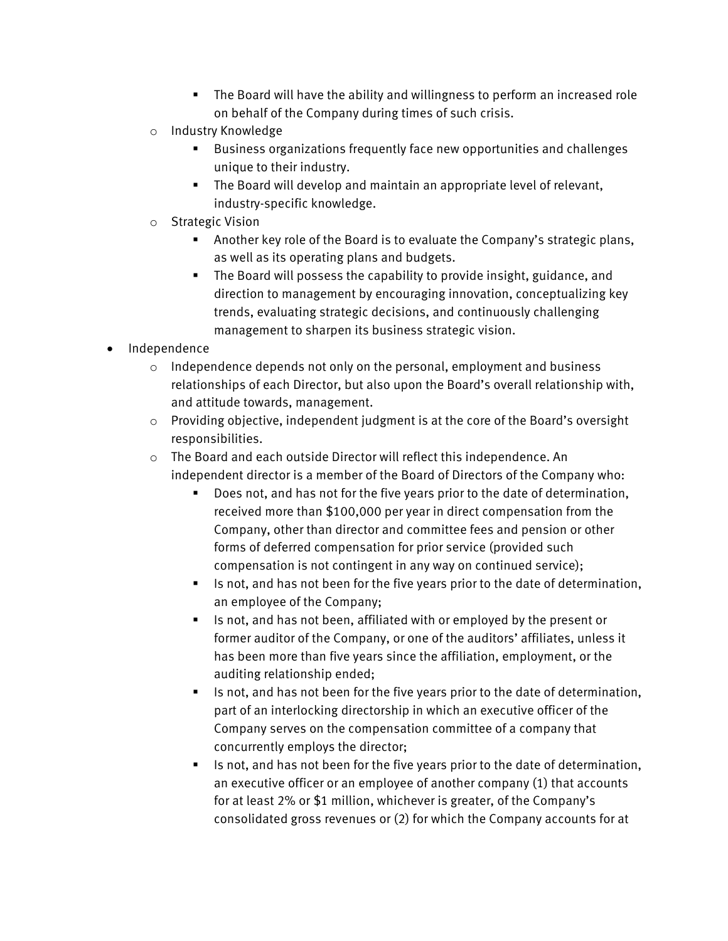- The Board will have the ability and willingness to perform an increased role on behalf of the Company during times of such crisis.
- o Industry Knowledge
	- Business organizations frequently face new opportunities and challenges unique to their industry.
	- The Board will develop and maintain an appropriate level of relevant, industry-specific knowledge.
- o Strategic Vision
	- Another key role of the Board is to evaluate the Company's strategic plans, as well as its operating plans and budgets.
	- The Board will possess the capability to provide insight, guidance, and direction to management by encouraging innovation, conceptualizing key trends, evaluating strategic decisions, and continuously challenging management to sharpen its business strategic vision.
- Independence
	- $\circ$  Independence depends not only on the personal, employment and business relationships of each Director, but also upon the Board's overall relationship with, and attitude towards, management.
	- $\circ$  Providing objective, independent judgment is at the core of the Board's oversight responsibilities.
	- o The Board and each outside Director will reflect this independence. An independent director is a member of the Board of Directors of the Company who:
		- Does not, and has not for the five years prior to the date of determination, received more than \$100,000 per year in direct compensation from the Company, other than director and committee fees and pension or other forms of deferred compensation for prior service (provided such compensation is not contingent in any way on continued service);
		- Is not, and has not been for the five years prior to the date of determination, an employee of the Company;
		- Is not, and has not been, affiliated with or employed by the present or former auditor of the Company, or one of the auditors' affiliates, unless it has been more than five years since the affiliation, employment, or the auditing relationship ended;
		- Is not, and has not been for the five years prior to the date of determination, part of an interlocking directorship in which an executive officer of the Company serves on the compensation committee of a company that concurrently employs the director;
		- Is not, and has not been for the five years prior to the date of determination, an executive officer or an employee of another company (1) that accounts for at least 2% or \$1 million, whichever is greater, of the Company's consolidated gross revenues or (2) for which the Company accounts for at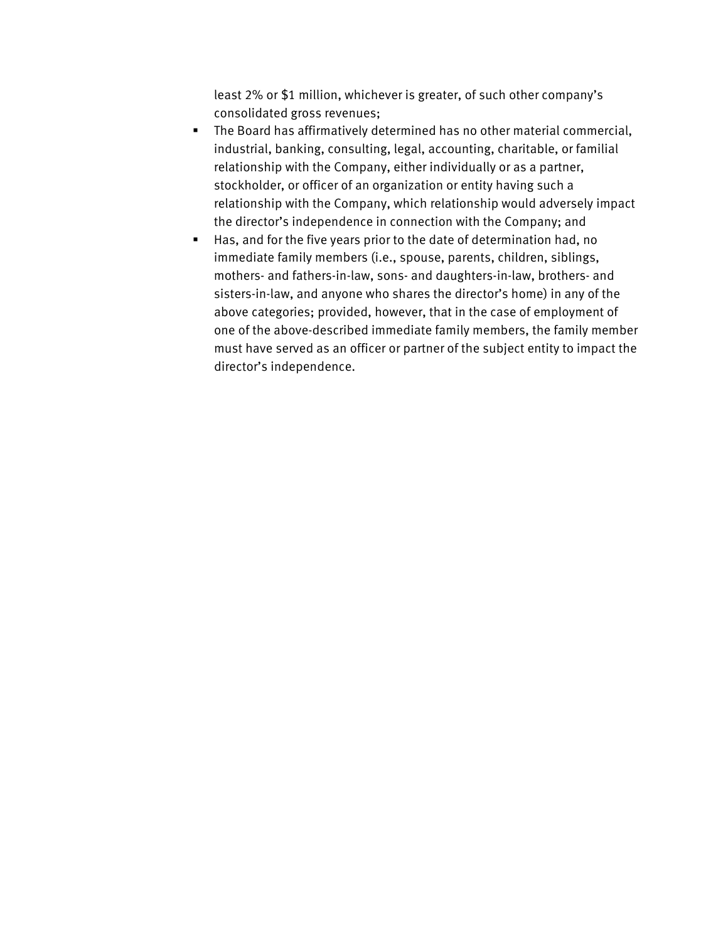least 2% or \$1 million, whichever is greater, of such other company's consolidated gross revenues;

- The Board has affirmatively determined has no other material commercial, industrial, banking, consulting, legal, accounting, charitable, or familial relationship with the Company, either individually or as a partner, stockholder, or officer of an organization or entity having such a relationship with the Company, which relationship would adversely impact the director's independence in connection with the Company; and
- Has, and for the five years prior to the date of determination had, no immediate family members (i.e., spouse, parents, children, siblings, mothers- and fathers-in-law, sons- and daughters-in-law, brothers- and sisters-in-law, and anyone who shares the director's home) in any of the above categories; provided, however, that in the case of employment of one of the above-described immediate family members, the family member must have served as an officer or partner of the subject entity to impact the director's independence.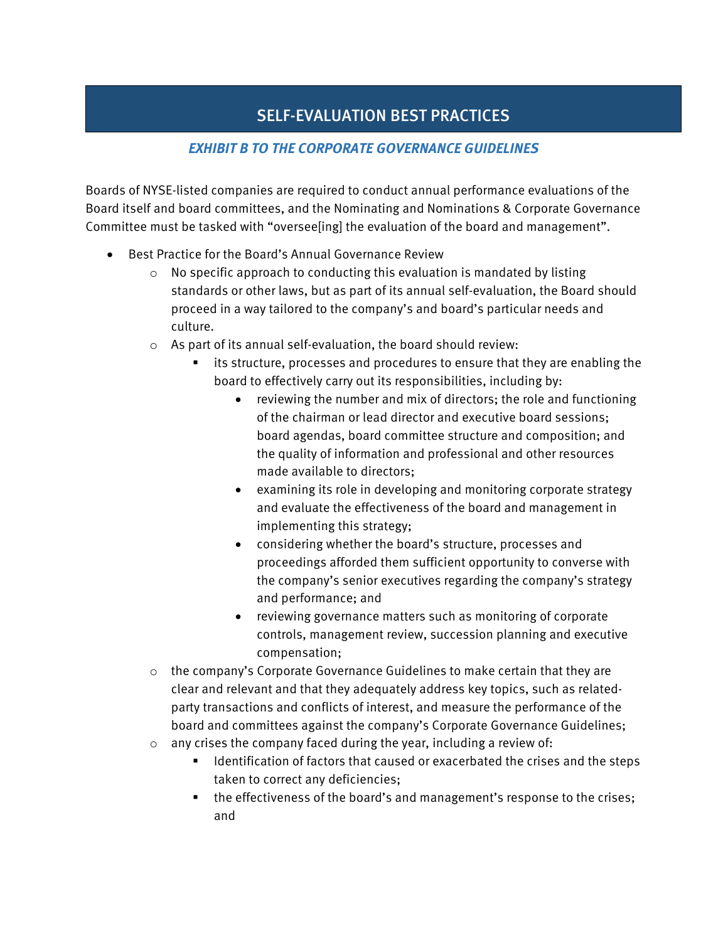# SELF-EVALUATION BEST PRACTICES

## *EXHIBIT B TO THE CORPORATE GOVERNANCE GUIDELINES*

Boards of NYSE-listed companies are required to conduct annual performance evaluations of the Board itself and board committees, and the Nominating and Nominations & Corporate Governance Committee must be tasked with "oversee[ing] the evaluation of the board and management".

- Best Practice for the Board's Annual Governance Review
	- $\circ$  No specific approach to conducting this evaluation is mandated by listing standards or other laws, but as part of its annual self-evaluation, the Board should proceed in a way tailored to the company's and board's particular needs and culture.
	- o As part of its annual self-evaluation, the board should review:
		- its structure, processes and procedures to ensure that they are enabling the board to effectively carry out its responsibilities, including by:
			- reviewing the number and mix of directors; the role and functioning of the chairman or lead director and executive board sessions; board agendas, board committee structure and composition; and the quality of information and professional and other resources made available to directors;
			- examining its role in developing and monitoring corporate strategy and evaluate the effectiveness of the board and management in implementing this strategy;
			- considering whether the board's structure, processes and proceedings afforded them sufficient opportunity to converse with the company's senior executives regarding the company's strategy and performance; and
			- reviewing governance matters such as monitoring of corporate controls, management review, succession planning and executive compensation;
	- $\circ$  the company's Corporate Governance Guidelines to make certain that they are clear and relevant and that they adequately address key topics, such as relatedparty transactions and conflicts of interest, and measure the performance of the board and committees against the company's Corporate Governance Guidelines; o any crises the company faced during the year, including a review of:
		- Identification of factors that caused or exacerbated the crises and the steps
			- taken to correct any deficiencies; the effectiveness of the board's and management's response to the crises; and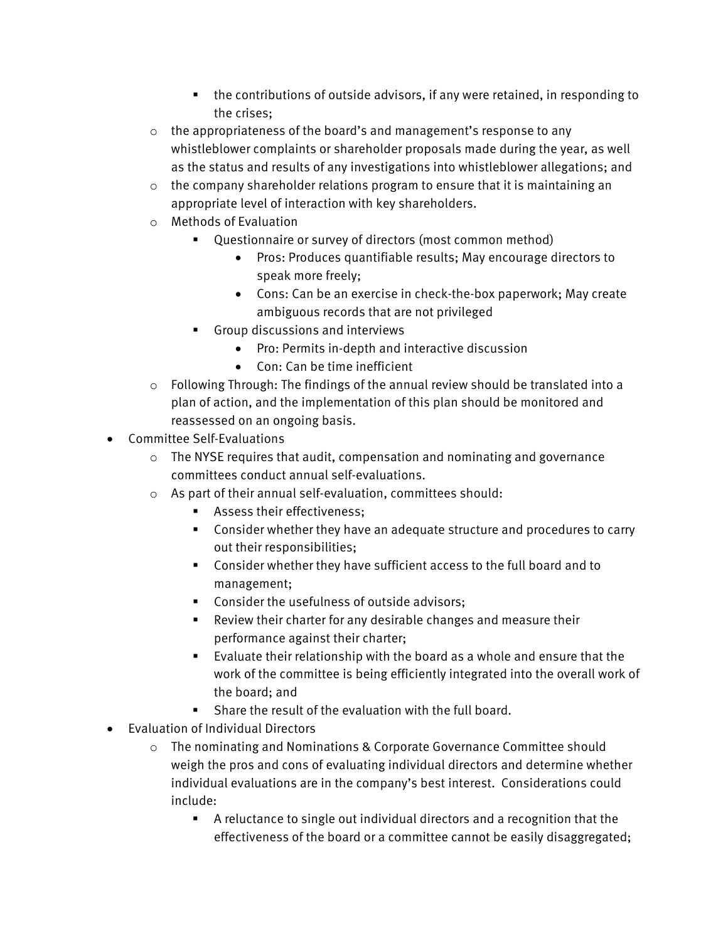- the contributions of outside advisors, if any were retained, in responding to the crises;
- o the appropriateness of the board's and management's response to any whistleblower complaints or shareholder proposals made during the year, as well as the status and results of any investigations into whistleblower allegations; and
- $\circ$  the company shareholder relations program to ensure that it is maintaining an appropriate level of interaction with key shareholders.
- o Methods of Evaluation
	- Questionnaire or survey of directors (most common method)
		- Pros: Produces quantifiable results; May encourage directors to speak more freely;
		- Cons: Can be an exercise in check-the-box paperwork; May create ambiguous records that are not privileged
	- Group discussions and interviews
		- Pro: Permits in-depth and interactive discussion
		- Con: Can be time inefficient
- $\circ$  Following Through: The findings of the annual review should be translated into a plan of action, and the implementation of this plan should be monitored and reassessed on an ongoing basis.
- Committee Self-Evaluations
	- o The NYSE requires that audit, compensation and nominating and governance committees conduct annual self-evaluations.
	- o As part of their annual self-evaluation, committees should:
		- **Assess their effectiveness:**
		- Consider whether they have an adequate structure and procedures to carry out their responsibilities;
		- Consider whether they have sufficient access to the full board and to management;
		- **Consider the usefulness of outside advisors;**
		- Review their charter for any desirable changes and measure their performance against their charter;
		- Evaluate their relationship with the board as a whole and ensure that the work of the committee is being efficiently integrated into the overall work of the board; and
		- Share the result of the evaluation with the full board.
- Evaluation of Individual Directors
	- o The nominating and Nominations & Corporate Governance Committee should weigh the pros and cons of evaluating individual directors and determine whether individual evaluations are in the company's best interest. Considerations could include:
		- A reluctance to single out individual directors and a recognition that the effectiveness of the board or a committee cannot be easily disaggregated;